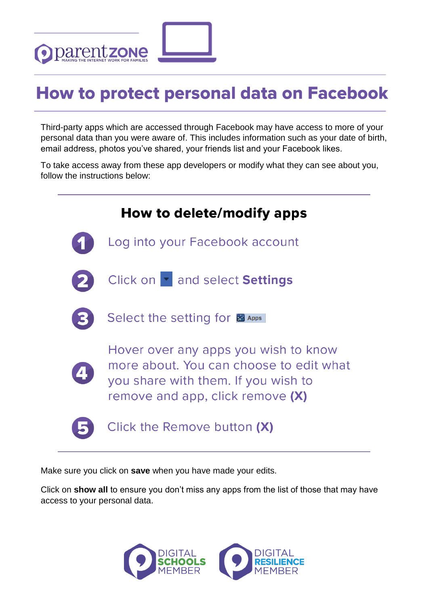

## **How to protect personal data on Facebook**

Third-party apps which are accessed through Facebook may have access to more of your personal data than you were aware of. This includes information such as your date of birth, email address, photos you've shared, your friends list and your Facebook likes.

To take access away from these app developers or modify what they can see about you, follow the instructions below:

| How to delete/modify apps                                                                                                                                  |
|------------------------------------------------------------------------------------------------------------------------------------------------------------|
| Log into your Facebook account                                                                                                                             |
| Click on <b>T</b> and select Settings                                                                                                                      |
| Select the setting for <b>B</b> Apps                                                                                                                       |
| Hover over any apps you wish to know<br>more about. You can choose to edit what<br>you share with them. If you wish to<br>remove and app, click remove (X) |
| Click the Remove button (X)                                                                                                                                |

Make sure you click on **save** when you have made your edits.

Click on **show all** to ensure you don't miss any apps from the list of those that may have access to your personal data.

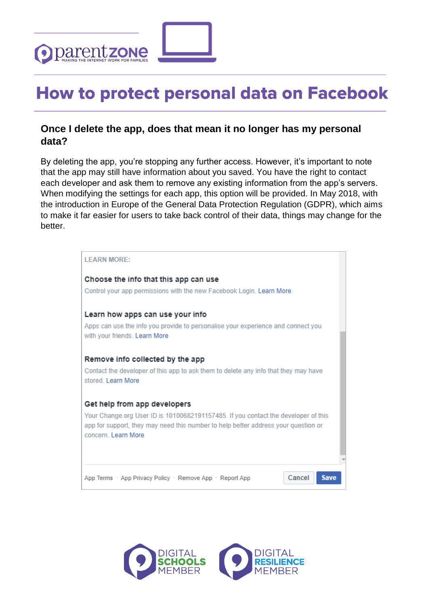

## **How to protect personal data on Facebook**

## **Once I delete the app, does that mean it no longer has my personal data?**

By deleting the app, you're stopping any further access. However, it's important to note that the app may still have information about you saved. You have the right to contact each developer and ask them to remove any existing information from the app's servers. When modifying the settings for each app, this option will be provided. In May 2018, with the introduction in Europe of the General Data Protection Regulation (GDPR), which aims to make it far easier for users to take back control of their data, things may change for the better.